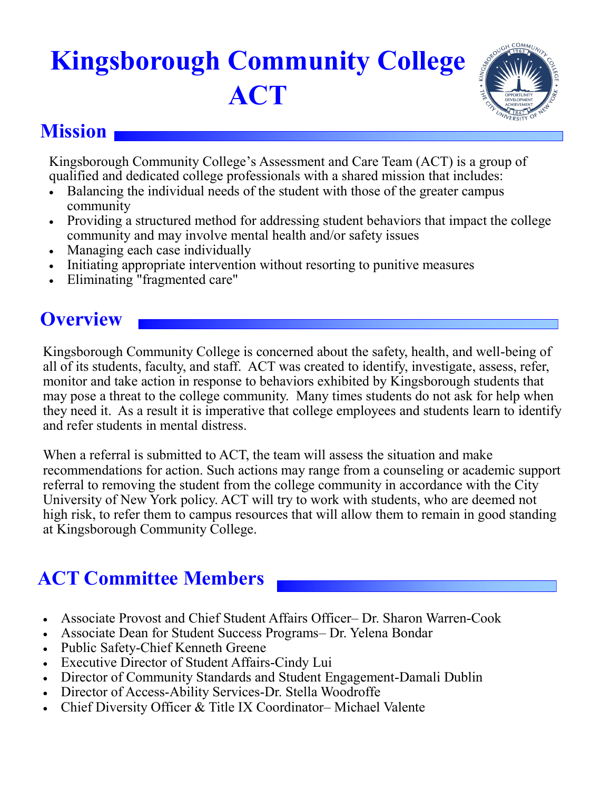# **Kingsborough Community College ACT**



### **Mission**

Kingsborough Community College's Assessment and Care Team (ACT) is a group of qualified and dedicated college professionals with a shared mission that includes:

- Balancing the individual needs of the student with those of the greater campus community
- Providing a structured method for addressing student behaviors that impact the college community and may involve mental health and/or safety issues
- Managing each case individually
- Initiating appropriate intervention without resorting to punitive measures
- Eliminating "fragmented care"

## **Overview**

Kingsborough Community College is concerned about the safety, health, and well-being of all of its students, faculty, and staff. ACT was created to identify, investigate, assess, refer, monitor and take action in response to behaviors exhibited by Kingsborough students that may pose a threat to the college community. Many times students do not ask for help when they need it. As a result it is imperative that college employees and students learn to identify and refer students in mental distress.

When a referral is submitted to ACT, the team will assess the situation and make recommendations for action. Such actions may range from a counseling or academic support referral to removing the student from the college community in accordance with the City University of New York policy. ACT will try to work with students, who are deemed not high risk, to refer them to campus resources that will allow them to remain in good standing at Kingsborough Community College.

# **ACT Committee Members**

- Associate Provost and Chief Student Affairs Officer– Dr. Sharon Warren-Cook
- Associate Dean for Student Success Programs– Dr. Yelena Bondar
- Public Safety-Chief Kenneth Greene
- Executive Director of Student Affairs-Cindy Lui
- Director of Community Standards and Student Engagement-Damali Dublin
- Director of Access-Ability Services-Dr. Stella Woodroffe
- Chief Diversity Officer & Title IX Coordinator– Michael Valente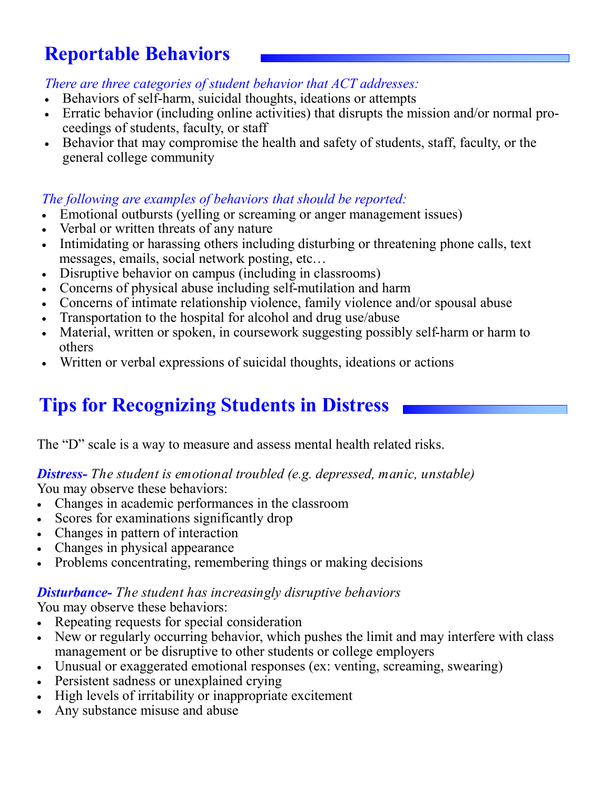# **Reportable Behaviors**

*There are three categories of student behavior that ACT addresses:* 

- Behaviors of self-harm, suicidal thoughts, ideations or attempts
- Erratic behavior (including online activities) that disrupts the mission and/or normal proceedings of students, faculty, or staff
- Behavior that may compromise the health and safety of students, staff, faculty, or the general college community

#### *The following are examples of behaviors that should be reported:*

- Emotional outbursts (yelling or screaming or anger management issues)
- Verbal or written threats of any nature
- Intimidating or harassing others including disturbing or threatening phone calls, text messages, emails, social network posting, etc…
- Disruptive behavior on campus (including in classrooms)
- Concerns of physical abuse including self-mutilation and harm
- Concerns of intimate relationship violence, family violence and/or spousal abuse
- Transportation to the hospital for alcohol and drug use/abuse
- Material, written or spoken, in coursework suggesting possibly self-harm or harm to others
- Written or verbal expressions of suicidal thoughts, ideations or actions

### **Tips for Recognizing Students in Distress**

The "D" scale is a way to measure and assess mental health related risks.

#### *Distress- The student is emotional troubled (e.g. depressed, manic, unstable)* You may observe these behaviors:

- Changes in academic performances in the classroom
- Scores for examinations significantly drop
- Changes in pattern of interaction
- Changes in physical appearance
- Problems concentrating, remembering things or making decisions

#### *Disturbance- The student has increasingly disruptive behaviors*

You may observe these behaviors:

- Repeating requests for special consideration
- New or regularly occurring behavior, which pushes the limit and may interfere with class management or be disruptive to other students or college employers
- Unusual or exaggerated emotional responses (ex: venting, screaming, swearing)
- Persistent sadness or unexplained crying
- High levels of irritability or inappropriate excitement
- Any substance misuse and abuse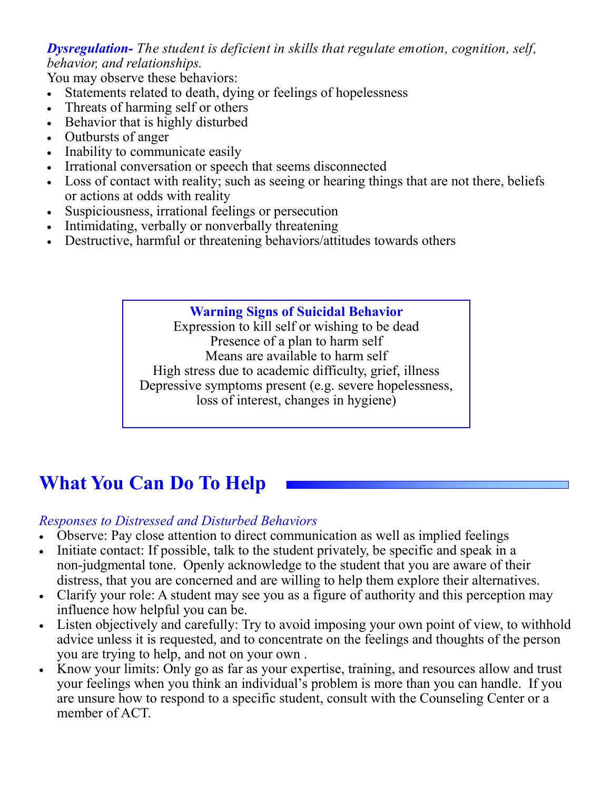*Dysregulation- The student is deficient in skills that regulate emotion, cognition, self, behavior, and relationships.*

You may observe these behaviors:

- Statements related to death, dying or feelings of hopelessness
- Threats of harming self or others
- Behavior that is highly disturbed
- Outbursts of anger
- Inability to communicate easily
- Irrational conversation or speech that seems disconnected
- Loss of contact with reality; such as seeing or hearing things that are not there, beliefs or actions at odds with reality
- Suspiciousness, irrational feelings or persecution
- Intimidating, verbally or nonverbally threatening
- Destructive, harmful or threatening behaviors/attitudes towards others

#### **Warning Signs of Suicidal Behavior**

Expression to kill self or wishing to be dead Presence of a plan to harm self Means are available to harm self High stress due to academic difficulty, grief, illness Depressive symptoms present (e.g. severe hopelessness, loss of interest, changes in hygiene)

# **What You Can Do To Help**

#### *Responses to Distressed and Disturbed Behaviors*

- Observe: Pay close attention to direct communication as well as implied feelings
- Initiate contact: If possible, talk to the student privately, be specific and speak in a non-judgmental tone. Openly acknowledge to the student that you are aware of their distress, that you are concerned and are willing to help them explore their alternatives.
- Clarify your role: A student may see you as a figure of authority and this perception may influence how helpful you can be.
- Listen objectively and carefully: Try to avoid imposing your own point of view, to withhold advice unless it is requested, and to concentrate on the feelings and thoughts of the person you are trying to help, and not on your own .
- Know your limits: Only go as far as your expertise, training, and resources allow and trust your feelings when you think an individual's problem is more than you can handle. If you are unsure how to respond to a specific student, consult with the Counseling Center or a member of ACT.